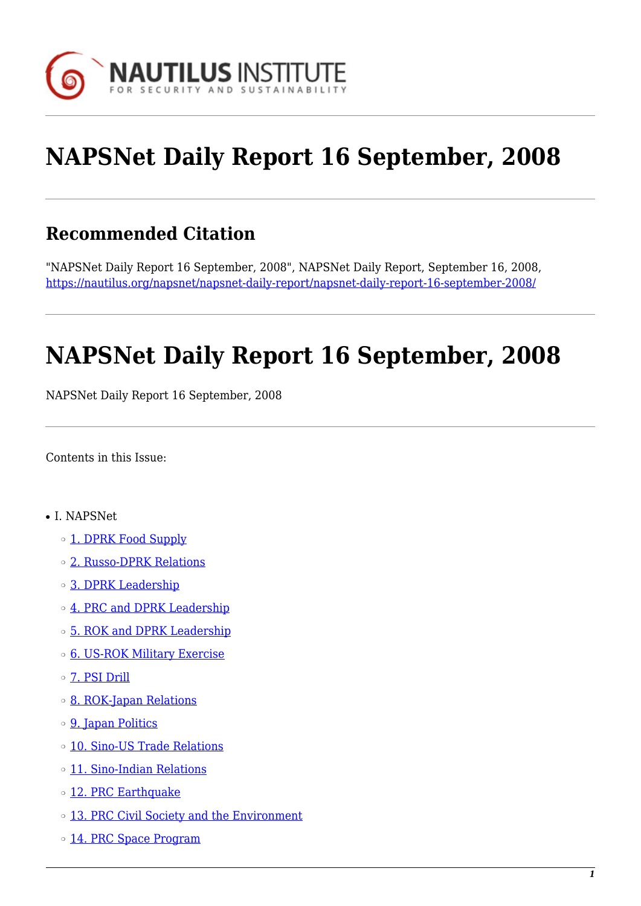

# **NAPSNet Daily Report 16 September, 2008**

# **Recommended Citation**

"NAPSNet Daily Report 16 September, 2008", NAPSNet Daily Report, September 16, 2008, <https://nautilus.org/napsnet/napsnet-daily-report/napsnet-daily-report-16-september-2008/>

# **NAPSNet Daily Report 16 September, 2008**

NAPSNet Daily Report 16 September, 2008

<span id="page-0-0"></span>Contents in this Issue:

- I. NAPSNet
	- ❍ [1. DPRK Food Supply](#page-1-0)
	- ❍ [2. Russo-DPRK Relations](#page-1-1)
	- ❍ [3. DPRK Leadership](#page-1-2)
	- o [4. PRC and DPRK Leadership](#page-2-0)
	- ❍ [5. ROK and DPRK Leadership](#page-2-1)
	- ❍ [6. US-ROK Military Exercise](#page-2-2)
	- ❍ [7. PSI Drill](#page-2-3)
	- ❍ [8. ROK-Japan Relations](#page-3-0)
	- ❍ [9. Japan Politics](#page-3-1)
	- ❍ [10. Sino-US Trade Relations](#page-3-2)
	- ❍ [11. Sino-Indian Relations](#page-3-3)
	- o [12. PRC Earthquake](#page-4-0)
	- o [13. PRC Civil Society and the Environment](#page-4-1)
	- o [14. PRC Space Program](#page-4-2)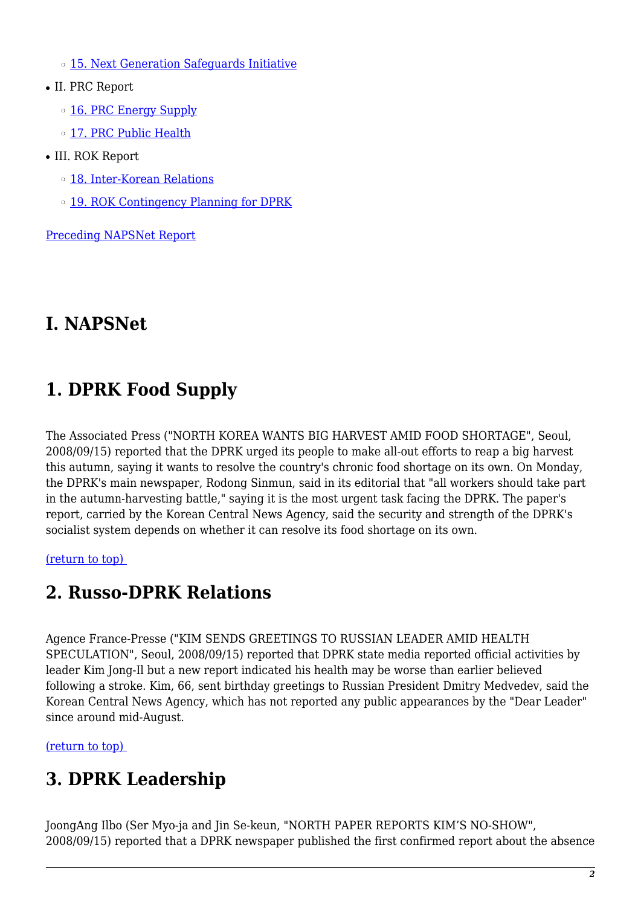o [15. Next Generation Safeguards Initiative](#page-4-3)

- II. PRC Report
	- o [16. PRC Energy Supply](#page-5-0)
	- o [17. PRC Public Health](#page-5-1)
- III. ROK Report
	- ❍ [18. Inter-Korean Relations](#page-6-0)
	- ❍ [19. ROK Contingency Planning for DPRK](#page-6-1)

[Preceding NAPSNet Report](https://nautilus.org/mailing-lists/napsnet/dr/2008-2/napsnet-daily-report-15-september-2008/)

# **I. NAPSNet**

# <span id="page-1-0"></span>**1. DPRK Food Supply**

The Associated Press ("NORTH KOREA WANTS BIG HARVEST AMID FOOD SHORTAGE", Seoul, 2008/09/15) reported that the DPRK urged its people to make all-out efforts to reap a big harvest this autumn, saying it wants to resolve the country's chronic food shortage on its own. On Monday, the DPRK's main newspaper, Rodong Sinmun, said in its editorial that "all workers should take part in the autumn-harvesting battle," saying it is the most urgent task facing the DPRK. The paper's report, carried by the Korean Central News Agency, said the security and strength of the DPRK's socialist system depends on whether it can resolve its food shortage on its own.

<span id="page-1-1"></span>[\(return to top\)](#page-0-0) 

# **2. Russo-DPRK Relations**

Agence France-Presse ("KIM SENDS GREETINGS TO RUSSIAN LEADER AMID HEALTH SPECULATION", Seoul, 2008/09/15) reported that DPRK state media reported official activities by leader Kim Jong-Il but a new report indicated his health may be worse than earlier believed following a stroke. Kim, 66, sent birthday greetings to Russian President Dmitry Medvedev, said the Korean Central News Agency, which has not reported any public appearances by the "Dear Leader" since around mid-August.

<span id="page-1-2"></span>[\(return to top\)](#page-0-0) 

# **3. DPRK Leadership**

JoongAng Ilbo (Ser Myo-ja and Jin Se-keun, "NORTH PAPER REPORTS KIM'S NO-SHOW", 2008/09/15) reported that a DPRK newspaper published the first confirmed report about the absence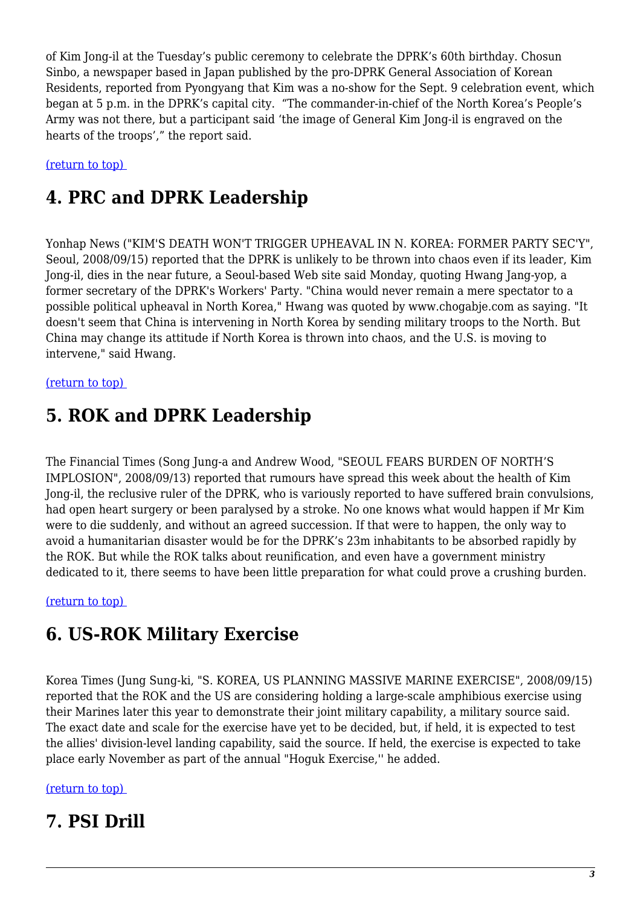of Kim Jong-il at the Tuesday's public ceremony to celebrate the DPRK's 60th birthday. Chosun Sinbo, a newspaper based in Japan published by the pro-DPRK General Association of Korean Residents, reported from Pyongyang that Kim was a no-show for the Sept. 9 celebration event, which began at 5 p.m. in the DPRK's capital city. "The commander-in-chief of the North Korea's People's Army was not there, but a participant said 'the image of General Kim Jong-il is engraved on the hearts of the troops'," the report said.

<span id="page-2-0"></span>[\(return to top\)](#page-0-0) 

# **4. PRC and DPRK Leadership**

Yonhap News ("KIM'S DEATH WON'T TRIGGER UPHEAVAL IN N. KOREA: FORMER PARTY SEC'Y", Seoul, 2008/09/15) reported that the DPRK is unlikely to be thrown into chaos even if its leader, Kim Jong-il, dies in the near future, a Seoul-based Web site said Monday, quoting Hwang Jang-yop, a former secretary of the DPRK's Workers' Party. "China would never remain a mere spectator to a possible political upheaval in North Korea," Hwang was quoted by www.chogabje.com as saying. "It doesn't seem that China is intervening in North Korea by sending military troops to the North. But China may change its attitude if North Korea is thrown into chaos, and the U.S. is moving to intervene," said Hwang.

#### <span id="page-2-1"></span>[\(return to top\)](#page-0-0)

# **5. ROK and DPRK Leadership**

The Financial Times (Song Jung-a and Andrew Wood, "SEOUL FEARS BURDEN OF NORTH'S IMPLOSION", 2008/09/13) reported that rumours have spread this week about the health of Kim Jong-il, the reclusive ruler of the DPRK, who is variously reported to have suffered brain convulsions, had open heart surgery or been paralysed by a stroke. No one knows what would happen if Mr Kim were to die suddenly, and without an agreed succession. If that were to happen, the only way to avoid a humanitarian disaster would be for the DPRK's 23m inhabitants to be absorbed rapidly by the ROK. But while the ROK talks about reunification, and even have a government ministry dedicated to it, there seems to have been little preparation for what could prove a crushing burden.

#### <span id="page-2-2"></span>[\(return to top\)](#page-0-0)

### **6. US-ROK Military Exercise**

Korea Times (Jung Sung-ki, "S. KOREA, US PLANNING MASSIVE MARINE EXERCISE", 2008/09/15) reported that the ROK and the US are considering holding a large-scale amphibious exercise using their Marines later this year to demonstrate their joint military capability, a military source said. The exact date and scale for the exercise have yet to be decided, but, if held, it is expected to test the allies' division-level landing capability, said the source. If held, the exercise is expected to take place early November as part of the annual "Hoguk Exercise,'' he added.

#### <span id="page-2-3"></span>[\(return to top\)](#page-0-0)

### **7. PSI Drill**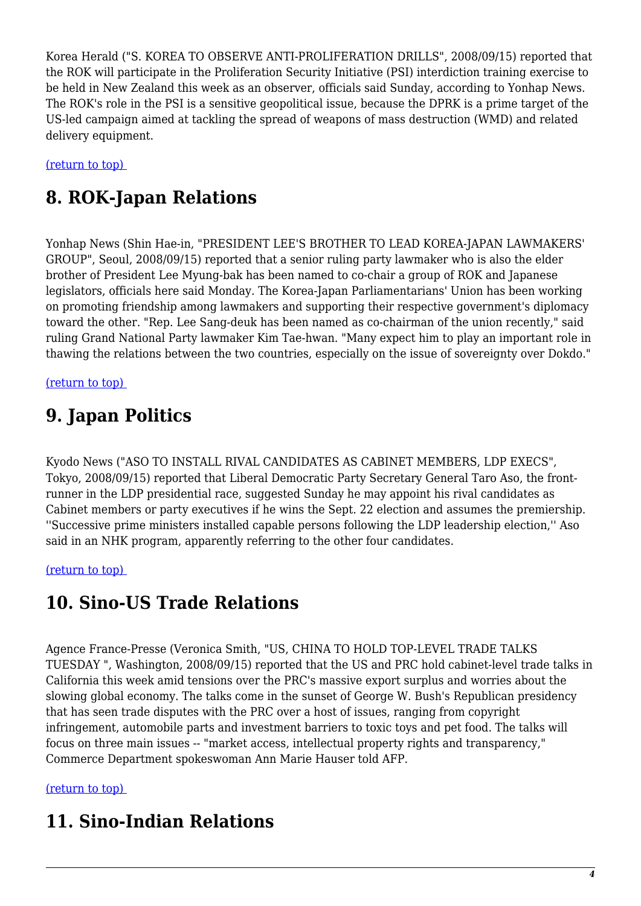Korea Herald ("S. KOREA TO OBSERVE ANTI-PROLIFERATION DRILLS", 2008/09/15) reported that the ROK will participate in the Proliferation Security Initiative (PSI) interdiction training exercise to be held in New Zealand this week as an observer, officials said Sunday, according to Yonhap News. The ROK's role in the PSI is a sensitive geopolitical issue, because the DPRK is a prime target of the US-led campaign aimed at tackling the spread of weapons of mass destruction (WMD) and related delivery equipment.

<span id="page-3-0"></span>[\(return to top\)](#page-0-0) 

# **8. ROK-Japan Relations**

Yonhap News (Shin Hae-in, "PRESIDENT LEE'S BROTHER TO LEAD KOREA-JAPAN LAWMAKERS' GROUP", Seoul, 2008/09/15) reported that a senior ruling party lawmaker who is also the elder brother of President Lee Myung-bak has been named to co-chair a group of ROK and Japanese legislators, officials here said Monday. The Korea-Japan Parliamentarians' Union has been working on promoting friendship among lawmakers and supporting their respective government's diplomacy toward the other. "Rep. Lee Sang-deuk has been named as co-chairman of the union recently," said ruling Grand National Party lawmaker Kim Tae-hwan. "Many expect him to play an important role in thawing the relations between the two countries, especially on the issue of sovereignty over Dokdo."

<span id="page-3-1"></span>[\(return to top\)](#page-0-0) 

# **9. Japan Politics**

Kyodo News ("ASO TO INSTALL RIVAL CANDIDATES AS CABINET MEMBERS, LDP EXECS", Tokyo, 2008/09/15) reported that Liberal Democratic Party Secretary General Taro Aso, the frontrunner in the LDP presidential race, suggested Sunday he may appoint his rival candidates as Cabinet members or party executives if he wins the Sept. 22 election and assumes the premiership. ''Successive prime ministers installed capable persons following the LDP leadership election,'' Aso said in an NHK program, apparently referring to the other four candidates.

<span id="page-3-2"></span>[\(return to top\)](#page-0-0) 

# **10. Sino-US Trade Relations**

Agence France-Presse (Veronica Smith, "US, CHINA TO HOLD TOP-LEVEL TRADE TALKS TUESDAY ", Washington, 2008/09/15) reported that the US and PRC hold cabinet-level trade talks in California this week amid tensions over the PRC's massive export surplus and worries about the slowing global economy. The talks come in the sunset of George W. Bush's Republican presidency that has seen trade disputes with the PRC over a host of issues, ranging from copyright infringement, automobile parts and investment barriers to toxic toys and pet food. The talks will focus on three main issues -- "market access, intellectual property rights and transparency," Commerce Department spokeswoman Ann Marie Hauser told AFP.

#### <span id="page-3-3"></span>[\(return to top\)](#page-0-0)

# **11. Sino-Indian Relations**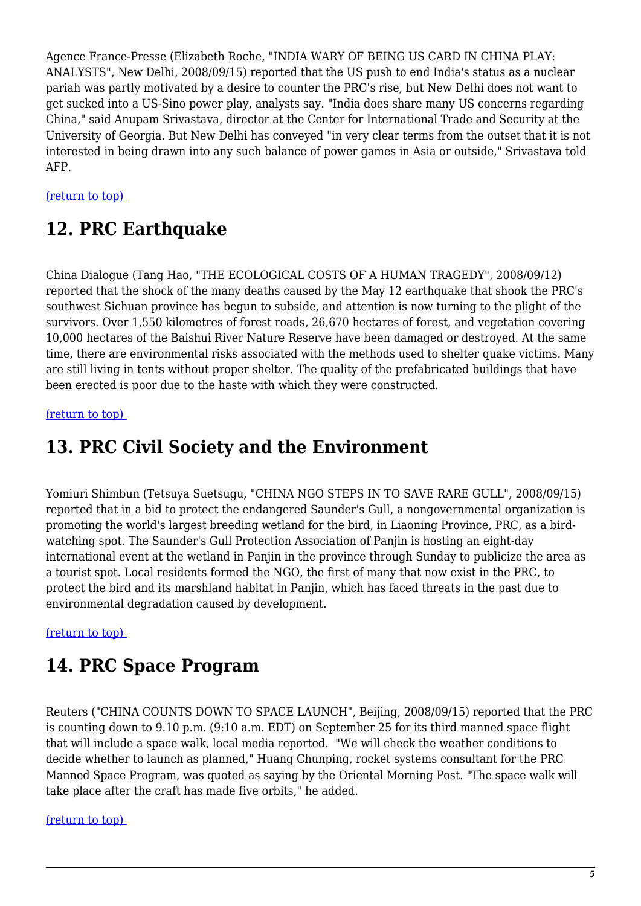Agence France-Presse (Elizabeth Roche, "INDIA WARY OF BEING US CARD IN CHINA PLAY: ANALYSTS", New Delhi, 2008/09/15) reported that the US push to end India's status as a nuclear pariah was partly motivated by a desire to counter the PRC's rise, but New Delhi does not want to get sucked into a US-Sino power play, analysts say. "India does share many US concerns regarding China," said Anupam Srivastava, director at the Center for International Trade and Security at the University of Georgia. But New Delhi has conveyed "in very clear terms from the outset that it is not interested in being drawn into any such balance of power games in Asia or outside," Srivastava told AFP.

#### <span id="page-4-0"></span>[\(return to top\)](#page-0-0)

### **12. PRC Earthquake**

China Dialogue (Tang Hao, "THE ECOLOGICAL COSTS OF A HUMAN TRAGEDY", 2008/09/12) reported that the shock of the many deaths caused by the May 12 earthquake that shook the PRC's southwest Sichuan province has begun to subside, and attention is now turning to the plight of the survivors. Over 1,550 kilometres of forest roads, 26,670 hectares of forest, and vegetation covering 10,000 hectares of the Baishui River Nature Reserve have been damaged or destroyed. At the same time, there are environmental risks associated with the methods used to shelter quake victims. Many are still living in tents without proper shelter. The quality of the prefabricated buildings that have been erected is poor due to the haste with which they were constructed.

#### <span id="page-4-1"></span>[\(return to top\)](#page-0-0)

### **13. PRC Civil Society and the Environment**

Yomiuri Shimbun (Tetsuya Suetsugu, "CHINA NGO STEPS IN TO SAVE RARE GULL", 2008/09/15) reported that in a bid to protect the endangered Saunder's Gull, a nongovernmental organization is promoting the world's largest breeding wetland for the bird, in Liaoning Province, PRC, as a birdwatching spot. The Saunder's Gull Protection Association of Panjin is hosting an eight-day international event at the wetland in Panjin in the province through Sunday to publicize the area as a tourist spot. Local residents formed the NGO, the first of many that now exist in the PRC, to protect the bird and its marshland habitat in Panjin, which has faced threats in the past due to environmental degradation caused by development.

#### <span id="page-4-2"></span>[\(return to top\)](#page-0-0)

### **14. PRC Space Program**

Reuters ("CHINA COUNTS DOWN TO SPACE LAUNCH", Beijing, 2008/09/15) reported that the PRC is counting down to 9.10 p.m. (9:10 a.m. EDT) on September 25 for its third manned space flight that will include a space walk, local media reported. "We will check the weather conditions to decide whether to launch as planned," Huang Chunping, rocket systems consultant for the PRC Manned Space Program, was quoted as saying by the Oriental Morning Post. "The space walk will take place after the craft has made five orbits," he added.

#### <span id="page-4-3"></span>[\(return to top\)](#page-0-0)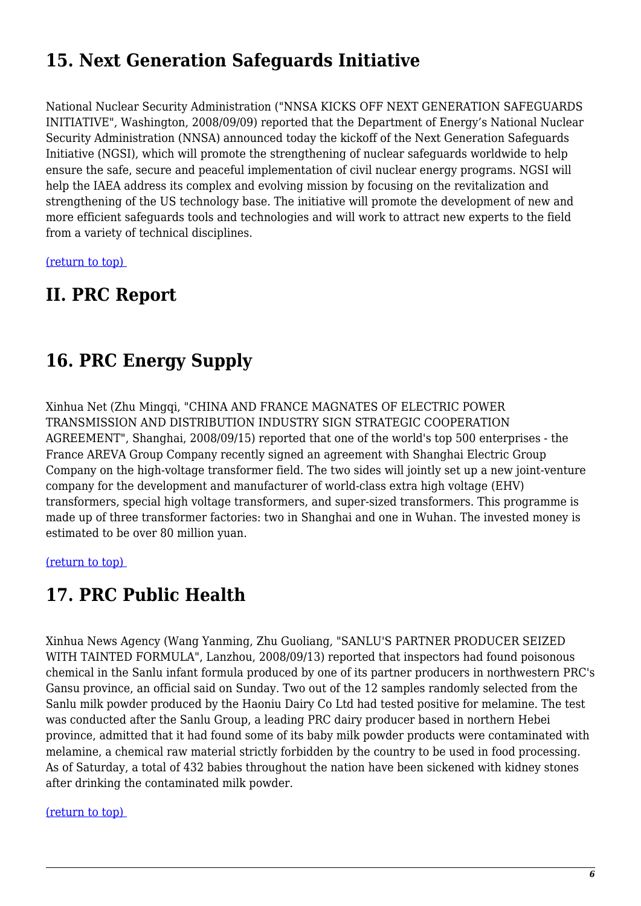# **15. Next Generation Safeguards Initiative**

National Nuclear Security Administration ("NNSA KICKS OFF NEXT GENERATION SAFEGUARDS INITIATIVE", Washington, 2008/09/09) reported that the Department of Energy's National Nuclear Security Administration (NNSA) announced today the kickoff of the Next Generation Safeguards Initiative (NGSI), which will promote the strengthening of nuclear safeguards worldwide to help ensure the safe, secure and peaceful implementation of civil nuclear energy programs. NGSI will help the IAEA address its complex and evolving mission by focusing on the revitalization and strengthening of the US technology base. The initiative will promote the development of new and more efficient safeguards tools and technologies and will work to attract new experts to the field from a variety of technical disciplines.

[\(return to top\)](#page-0-0) 

### <span id="page-5-0"></span>**II. PRC Report**

### **16. PRC Energy Supply**

Xinhua Net (Zhu Mingqi, "CHINA AND FRANCE MAGNATES OF ELECTRIC POWER TRANSMISSION AND DISTRIBUTION INDUSTRY SIGN STRATEGIC COOPERATION AGREEMENT", Shanghai, 2008/09/15) reported that one of the world's top 500 enterprises - the France AREVA Group Company recently signed an agreement with Shanghai Electric Group Company on the high-voltage transformer field. The two sides will jointly set up a new joint-venture company for the development and manufacturer of world-class extra high voltage (EHV) transformers, special high voltage transformers, and super-sized transformers. This programme is made up of three transformer factories: two in Shanghai and one in Wuhan. The invested money is estimated to be over 80 million yuan.

#### <span id="page-5-1"></span>[\(return to top\)](#page-0-0)

### **17. PRC Public Health**

Xinhua News Agency (Wang Yanming, Zhu Guoliang, "SANLU'S PARTNER PRODUCER SEIZED WITH TAINTED FORMULA", Lanzhou, 2008/09/13) reported that inspectors had found poisonous chemical in the Sanlu infant formula produced by one of its partner producers in northwestern PRC's Gansu province, an official said on Sunday. Two out of the 12 samples randomly selected from the Sanlu milk powder produced by the Haoniu Dairy Co Ltd had tested positive for melamine. The test was conducted after the Sanlu Group, a leading PRC dairy producer based in northern Hebei province, admitted that it had found some of its baby milk powder products were contaminated with melamine, a chemical raw material strictly forbidden by the country to be used in food processing. As of Saturday, a total of 432 babies throughout the nation have been sickened with kidney stones after drinking the contaminated milk powder.

#### [\(return to top\)](#page-0-0)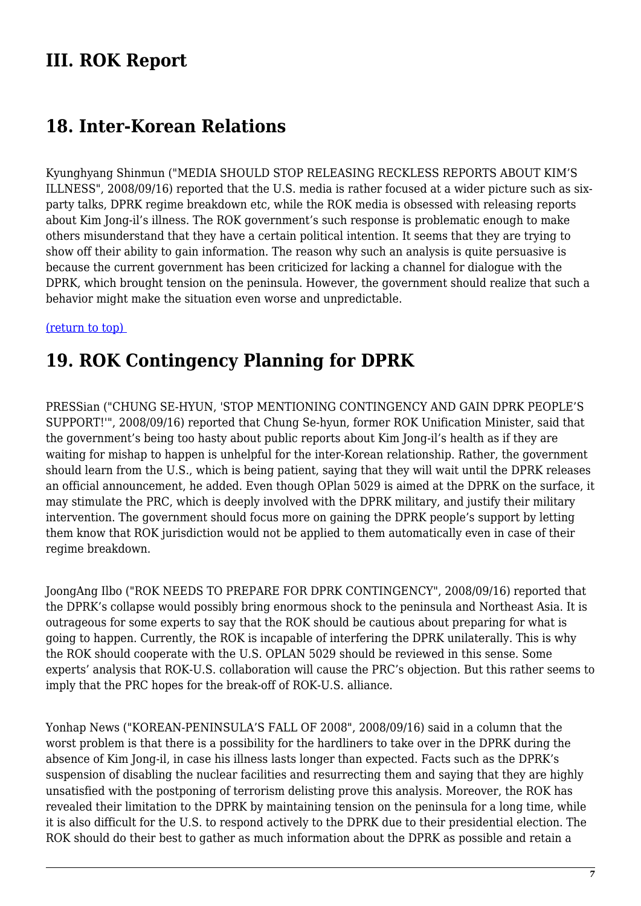### **III. ROK Report**

### <span id="page-6-0"></span>**18. Inter-Korean Relations**

Kyunghyang Shinmun ("MEDIA SHOULD STOP RELEASING RECKLESS REPORTS ABOUT KIM'S ILLNESS", 2008/09/16) reported that the U.S. media is rather focused at a wider picture such as sixparty talks, DPRK regime breakdown etc, while the ROK media is obsessed with releasing reports about Kim Jong-il's illness. The ROK government's such response is problematic enough to make others misunderstand that they have a certain political intention. It seems that they are trying to show off their ability to gain information. The reason why such an analysis is quite persuasive is because the current government has been criticized for lacking a channel for dialogue with the DPRK, which brought tension on the peninsula. However, the government should realize that such a behavior might make the situation even worse and unpredictable.

#### <span id="page-6-1"></span>[\(return to top\)](#page-0-0)

### **19. ROK Contingency Planning for DPRK**

PRESSian ("CHUNG SE-HYUN, 'STOP MENTIONING CONTINGENCY AND GAIN DPRK PEOPLE'S SUPPORT!'", 2008/09/16) reported that Chung Se-hyun, former ROK Unification Minister, said that the government's being too hasty about public reports about Kim Jong-il's health as if they are waiting for mishap to happen is unhelpful for the inter-Korean relationship. Rather, the government should learn from the U.S., which is being patient, saying that they will wait until the DPRK releases an official announcement, he added. Even though OPlan 5029 is aimed at the DPRK on the surface, it may stimulate the PRC, which is deeply involved with the DPRK military, and justify their military intervention. The government should focus more on gaining the DPRK people's support by letting them know that ROK jurisdiction would not be applied to them automatically even in case of their regime breakdown.

JoongAng Ilbo ("ROK NEEDS TO PREPARE FOR DPRK CONTINGENCY", 2008/09/16) reported that the DPRK's collapse would possibly bring enormous shock to the peninsula and Northeast Asia. It is outrageous for some experts to say that the ROK should be cautious about preparing for what is going to happen. Currently, the ROK is incapable of interfering the DPRK unilaterally. This is why the ROK should cooperate with the U.S. OPLAN 5029 should be reviewed in this sense. Some experts' analysis that ROK-U.S. collaboration will cause the PRC's objection. But this rather seems to imply that the PRC hopes for the break-off of ROK-U.S. alliance.

Yonhap News ("KOREAN-PENINSULA'S FALL OF 2008", 2008/09/16) said in a column that the worst problem is that there is a possibility for the hardliners to take over in the DPRK during the absence of Kim Jong-il, in case his illness lasts longer than expected. Facts such as the DPRK's suspension of disabling the nuclear facilities and resurrecting them and saying that they are highly unsatisfied with the postponing of terrorism delisting prove this analysis. Moreover, the ROK has revealed their limitation to the DPRK by maintaining tension on the peninsula for a long time, while it is also difficult for the U.S. to respond actively to the DPRK due to their presidential election. The ROK should do their best to gather as much information about the DPRK as possible and retain a